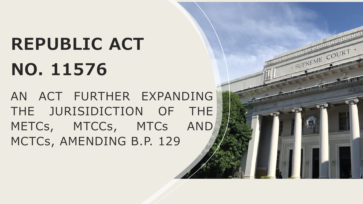# **REPUBLIC ACT NO. 11576**

AN ACT FURTHER EXPANDING THE JURISIDICTION OF THE METCs, MTCCs, MTCs AND MCTCs, AMENDING B.P. 129

SUPREME COURT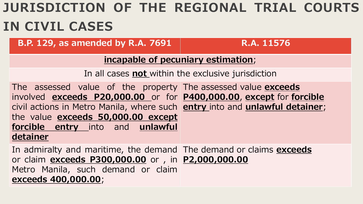## **JURISDICTION OF THE REGIONAL TRIAL COURTS IN CIVIL CASES**

**B.P. 129, as amended by R.A. 7691 | R.A. 11576** 

#### **incapable of pecuniary estimation**;

In all cases **not** within the exclusive jurisdiction

The assessed value of the property The assessed value **exceeds**  involved **exceeds P20,000.00** or for **P400,000.00**, **except** for **forcible**  civil actions in Metro Manila, where such **entry** into and **unlawful detainer**; the value **exceeds 50,000.00 except forcible entry** into and **unlawful detainer**

In admiralty and maritime, the demand The demand or claims **exceeds**  or claim **exceeds P300,000.00** or , in **P2,000,000.00**Metro Manila, such demand or claim **exceeds 400,000.00**;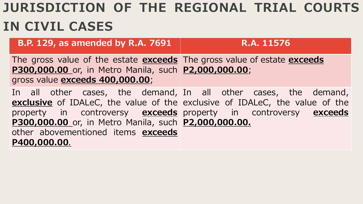## **JURISDICTION OF THE REGIONAL TRIAL COURTS IN CIVIL CASES**

| <b>B.P. 129, as amended by R.A. 7691</b>                                                                                                                                                    | R.A. 11576                                                                                                                                     |
|---------------------------------------------------------------------------------------------------------------------------------------------------------------------------------------------|------------------------------------------------------------------------------------------------------------------------------------------------|
| The gross value of the estate exceeds The gross value of estate exceeds<br>P300,000.00 or, in Metro Manila, such P2,000,000.00;<br>gross value exceeds 400,000.00;                          |                                                                                                                                                |
| property in controversy <b>exceeds</b> property in controversy <b>exceeds</b><br>P300,000.00 or, in Metro Manila, such P2,000,000.00.<br>other abovementioned items exceeds<br>P400,000.00. | In all other cases, the demand, In all other cases, the demand,<br>exclusive of IDALeC, the value of the exclusive of IDALeC, the value of the |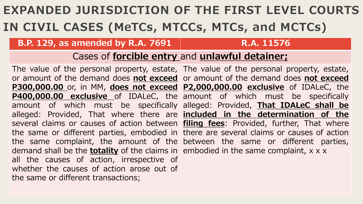## **EXPANDED JURISDICTION OF THE FIRST LEVEL COURTS IN CIVIL CASES (MeTCs, MTCCs, MTCs, and MCTCs)**

#### **B.P. 129, as amended by R.A. 7691 | R.A. 11576**

### Cases of **forcible entry** and **unlawful detainer;**

The value of the personal property, estate, The value of the personal property, estate, or amount of the demand does **not exceed** or amount of the demand does **not exceed P300,000.00** or, in MM, **does not exceed P2,000,000.00 exclusive** of IDALeC, the **P400,000.00 exclusive** of IDALeC, the amount of which must be specifically amount of which must be specifically alleged: Provided, **That IDALeC shall be** alleged: Provided, That where there are **included in the determination of the** several claims or causes of action between **filing fees**: Provided, further, That where the same or different parties, embodied in there are several claims or causes of action the same complaint, the amount of the between the same or different parties, demand shall be the **totality** of the claims in embodied in the same complaint, x x x all the causes of action, irrespective of whether the causes of action arose out of the same or different transactions;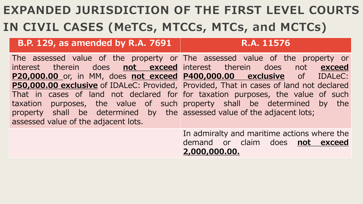## **EXPANDED JURISDICTION OF THE FIRST LEVEL COURTS IN CIVIL CASES (MeTCs, MTCCs, MTCs, and MCTCs)**

### **B.P. 129, as amended by R.A. 7691 | R.A. 11576**

The assessed value of the property or The assessed value of the property or interest therein does **not exceed** interest therein does not **exceed P20,000.00** or, in MM, does **not exceed P400,000.00 exclusive** of IDALeC: **P50,000.00 exclusive** of IDALeC: Provided, Provided, That in cases of land not declared That in cases of land not declared for for taxation purposes, the value of such taxation purposes, the value of such property shall be determined by the property shall be determined by the assessed value of the adjacent lots; assessed value of the adjacent lots.

In admiralty and maritime actions where the demand or claim does **not exceed 2,000,000.00.**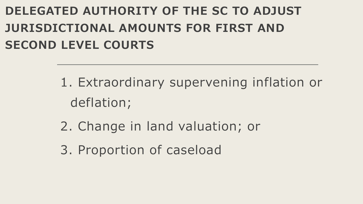## **DELEGATED AUTHORITY OF THE SC TO ADJUST JURISDICTIONAL AMOUNTS FOR FIRST AND SECOND LEVEL COURTS**

- 1. Extraordinary supervening inflation or deflation;
- 2. Change in land valuation; or
- 3. Proportion of caseload